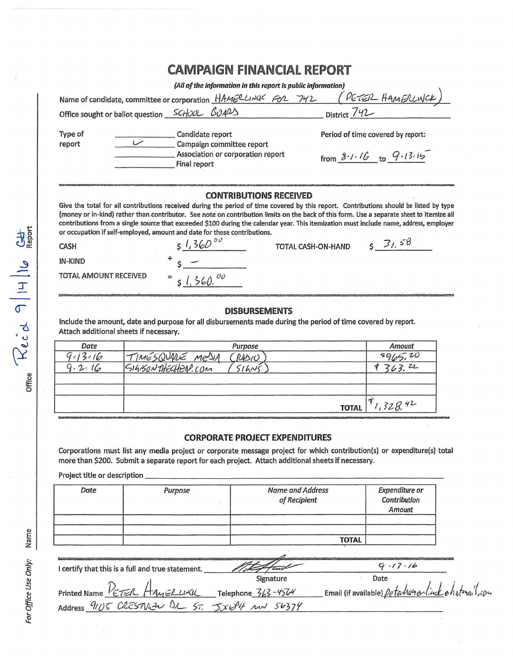## **CAMPAIGN FINANCIAL REPORT**

(All of the information in this report is public information)

|                   | <u>est of the importance in this report is public importance of </u>     |                                                                                                                                                                                                                                                                                                                                                                                                                               |
|-------------------|--------------------------------------------------------------------------|-------------------------------------------------------------------------------------------------------------------------------------------------------------------------------------------------------------------------------------------------------------------------------------------------------------------------------------------------------------------------------------------------------------------------------|
|                   | Name of candidate, committee or corporation HAMERLINGE FOR 742           | PETER HAMERLINCK                                                                                                                                                                                                                                                                                                                                                                                                              |
|                   | Office sought or ballot question SCHOOL BUARD                            | District 742                                                                                                                                                                                                                                                                                                                                                                                                                  |
| Type of<br>report | Candidate report<br>Campaign committee report                            | Period of time covered by report:                                                                                                                                                                                                                                                                                                                                                                                             |
|                   | Association or corporation report<br>Final report                        | from $8.1.16$ to $9.13.15$                                                                                                                                                                                                                                                                                                                                                                                                    |
|                   | <b>CONTRIBUTIONS RECEIVED</b>                                            | Give the total for all contributions received during the period of time covered by this report. Contributions should be listed by type<br>(money or in-kind) rather than contributor. See note on contribution limits on the back of this form. Use a separate sheet to itemize all<br>contributions from a single source that exceeded \$100 during the calendar year. This itemization must include name, address, employer |
|                   | or occupation if self-employed, amount and date for these contributions. |                                                                                                                                                                                                                                                                                                                                                                                                                               |

| <b>CASH</b>                  | 51,36000                                  | TOTAL CASH-ON-HAND |  |
|------------------------------|-------------------------------------------|--------------------|--|
| <b>IN-KIND</b>               |                                           |                    |  |
| <b>TOTAL AMOUNT RECEIVED</b> | $=$ $\frac{1}{6}$ $\frac{1}{2}$<br>360.00 |                    |  |

## **DISBURSEMENTS**

Include the amount, date and purpose for all disbursements made during the period of time covered by report. Attach additional sheets if necessary.

| Purpose | Amount                           |
|---------|----------------------------------|
| R4510   | 9965.20                          |
| 514N5   | 22<br>363.                       |
|         |                                  |
|         |                                  |
|         | .328.42                          |
|         | TIMESQUARE MESIA<br><b>TOTAL</b> |

## **CORPORATE PROJECT EXPENDITURES**

Corporations must list any media project or corporate message project for which contribution(s) or expenditure(s) total more than \$200. Submit a separate report for each project. Attach additional sheets if necessary.

Project title or description.

| Date | Purpose | <b>Name and Address</b><br>of Recipient | <b>Expenditure or</b><br>Contribution<br>Amount |
|------|---------|-----------------------------------------|-------------------------------------------------|
|      |         |                                         |                                                 |
|      |         | <b>TOTAL</b>                            |                                                 |

| I certify that this is a full and true statement. |                        | $9.13 - 16$                                         |
|---------------------------------------------------|------------------------|-----------------------------------------------------|
|                                                   | Signature              | Date                                                |
| Printed Name PETER HAMER UNCL                     | Telephone $363 - 4564$ | Email (if available) petamanantiack en strugit, con |
| Address 9105 CRESTVIEW IL ST. JXEPH MN 56374      |                        |                                                     |